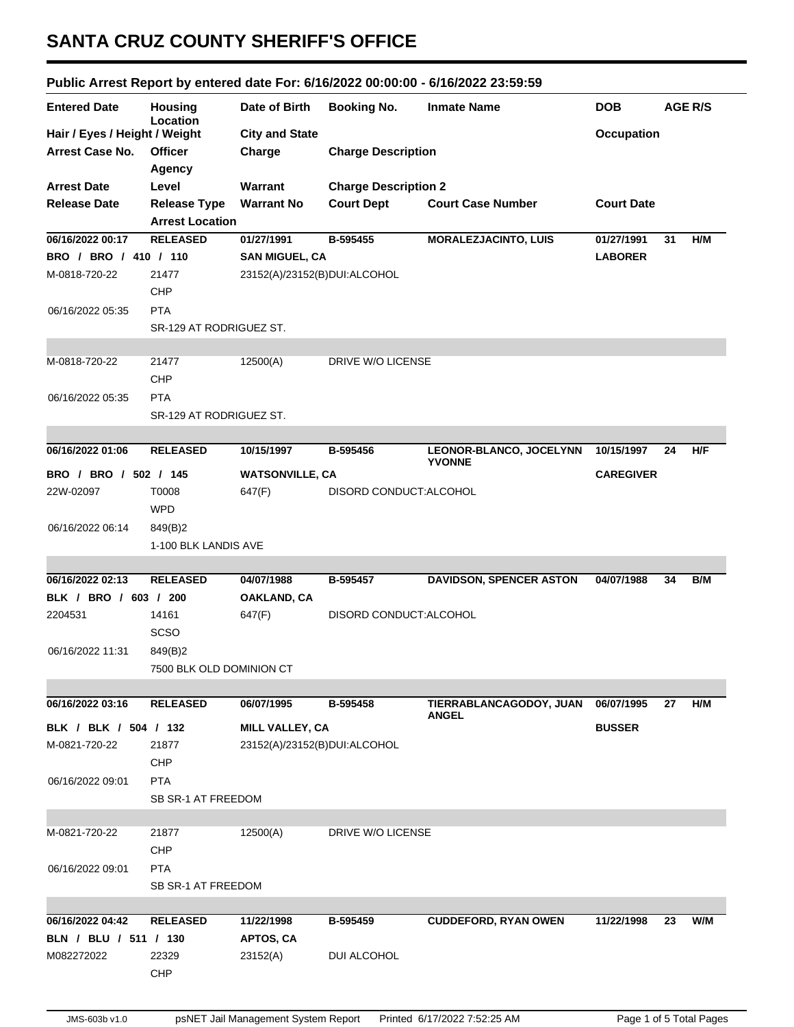## **SANTA CRUZ COUNTY SHERIFF'S OFFICE**

## **Public Arrest Report by entered date For: 6/16/2022 00:00:00 - 6/16/2022 23:59:59**

|                               |                            |                              | apply introduced by principal actors on the second conducts |                                |                   |    |                |
|-------------------------------|----------------------------|------------------------------|-------------------------------------------------------------|--------------------------------|-------------------|----|----------------|
| <b>Entered Date</b>           | <b>Housing</b><br>Location | Date of Birth                | <b>Booking No.</b>                                          | <b>Inmate Name</b>             | <b>DOB</b>        |    | <b>AGE R/S</b> |
| Hair / Eyes / Height / Weight |                            | <b>City and State</b>        |                                                             |                                | <b>Occupation</b> |    |                |
| <b>Arrest Case No.</b>        | <b>Officer</b>             | Charge                       | <b>Charge Description</b>                                   |                                |                   |    |                |
|                               | Agency                     |                              |                                                             |                                |                   |    |                |
| <b>Arrest Date</b>            | Level                      | <b>Warrant</b>               | <b>Charge Description 2</b>                                 |                                |                   |    |                |
| <b>Release Date</b>           | <b>Release Type</b>        | <b>Warrant No</b>            | <b>Court Dept</b>                                           | <b>Court Case Number</b>       | <b>Court Date</b> |    |                |
|                               | <b>Arrest Location</b>     |                              |                                                             |                                |                   |    |                |
| 06/16/2022 00:17              | <b>RELEASED</b>            | 01/27/1991                   | B-595455                                                    | <b>MORALEZJACINTO, LUIS</b>    | 01/27/1991        | 31 | H/M            |
| BRO / BRO / 410 / 110         |                            | <b>SAN MIGUEL, CA</b>        |                                                             |                                | <b>LABORER</b>    |    |                |
| M-0818-720-22                 | 21477                      | 23152(A)/23152(B)DUI:ALCOHOL |                                                             |                                |                   |    |                |
|                               | CHP                        |                              |                                                             |                                |                   |    |                |
| 06/16/2022 05:35              | <b>PTA</b>                 |                              |                                                             |                                |                   |    |                |
|                               | SR-129 AT RODRIGUEZ ST.    |                              |                                                             |                                |                   |    |                |
|                               |                            |                              |                                                             |                                |                   |    |                |
| M-0818-720-22                 | 21477                      | 12500(A)                     | DRIVE W/O LICENSE                                           |                                |                   |    |                |
|                               | CHP                        |                              |                                                             |                                |                   |    |                |
| 06/16/2022 05:35              | <b>PTA</b>                 |                              |                                                             |                                |                   |    |                |
|                               | SR-129 AT RODRIGUEZ ST.    |                              |                                                             |                                |                   |    |                |
|                               |                            |                              |                                                             |                                |                   |    |                |
| 06/16/2022 01:06              | <b>RELEASED</b>            | 10/15/1997                   | B-595456                                                    | LEONOR-BLANCO, JOCELYNN        | 10/15/1997        | 24 | H/F            |
|                               |                            |                              |                                                             | <b>YVONNE</b>                  |                   |    |                |
| BRO / BRO / 502 / 145         |                            | <b>WATSONVILLE, CA</b>       |                                                             |                                | <b>CAREGIVER</b>  |    |                |
| 22W-02097                     | T0008                      | 647(F)                       | DISORD CONDUCT: ALCOHOL                                     |                                |                   |    |                |
|                               | <b>WPD</b>                 |                              |                                                             |                                |                   |    |                |
| 06/16/2022 06:14              | 849(B)2                    |                              |                                                             |                                |                   |    |                |
|                               | 1-100 BLK LANDIS AVE       |                              |                                                             |                                |                   |    |                |
|                               |                            |                              |                                                             |                                |                   |    |                |
| 06/16/2022 02:13              | <b>RELEASED</b>            | 04/07/1988                   | B-595457                                                    | <b>DAVIDSON, SPENCER ASTON</b> | 04/07/1988        | 34 | B/M            |
| BLK / BRO / 603 / 200         |                            | OAKLAND, CA                  |                                                             |                                |                   |    |                |
| 2204531                       | 14161                      | 647(F)                       | DISORD CONDUCT: ALCOHOL                                     |                                |                   |    |                |
|                               | <b>SCSO</b>                |                              |                                                             |                                |                   |    |                |
| 06/16/2022 11:31              | 849(B)2                    |                              |                                                             |                                |                   |    |                |
|                               | 7500 BLK OLD DOMINION CT   |                              |                                                             |                                |                   |    |                |
|                               |                            |                              |                                                             |                                |                   |    |                |
| 06/16/2022 03:16              | <b>RELEASED</b>            | 06/07/1995                   | B-595458                                                    | TIERRABLANCAGODOY, JUAN        | 06/07/1995        | 27 | H/M            |
| BLK / BLK / 504 / 132         |                            | MILL VALLEY, CA              |                                                             | <b>ANGEL</b>                   | <b>BUSSER</b>     |    |                |
| M-0821-720-22                 | 21877                      | 23152(A)/23152(B)DUI:ALCOHOL |                                                             |                                |                   |    |                |
|                               | <b>CHP</b>                 |                              |                                                             |                                |                   |    |                |
| 06/16/2022 09:01              | <b>PTA</b>                 |                              |                                                             |                                |                   |    |                |
|                               |                            |                              |                                                             |                                |                   |    |                |
|                               | SB SR-1 AT FREEDOM         |                              |                                                             |                                |                   |    |                |
| M-0821-720-22                 | 21877                      | 12500(A)                     | DRIVE W/O LICENSE                                           |                                |                   |    |                |
|                               |                            |                              |                                                             |                                |                   |    |                |
|                               | <b>CHP</b>                 |                              |                                                             |                                |                   |    |                |
| 06/16/2022 09:01              | <b>PTA</b>                 |                              |                                                             |                                |                   |    |                |
|                               | SB SR-1 AT FREEDOM         |                              |                                                             |                                |                   |    |                |
|                               |                            |                              |                                                             |                                |                   |    |                |
| 06/16/2022 04:42              | <b>RELEASED</b>            | 11/22/1998                   | B-595459                                                    | <b>CUDDEFORD, RYAN OWEN</b>    | 11/22/1998        | 23 | W/M            |
|                               |                            |                              |                                                             |                                |                   |    |                |
| BLN / BLU / 511 / 130         |                            | APTOS, CA                    |                                                             |                                |                   |    |                |
| M082272022                    | 22329                      | 23152(A)                     | DUI ALCOHOL                                                 |                                |                   |    |                |
|                               | <b>CHP</b>                 |                              |                                                             |                                |                   |    |                |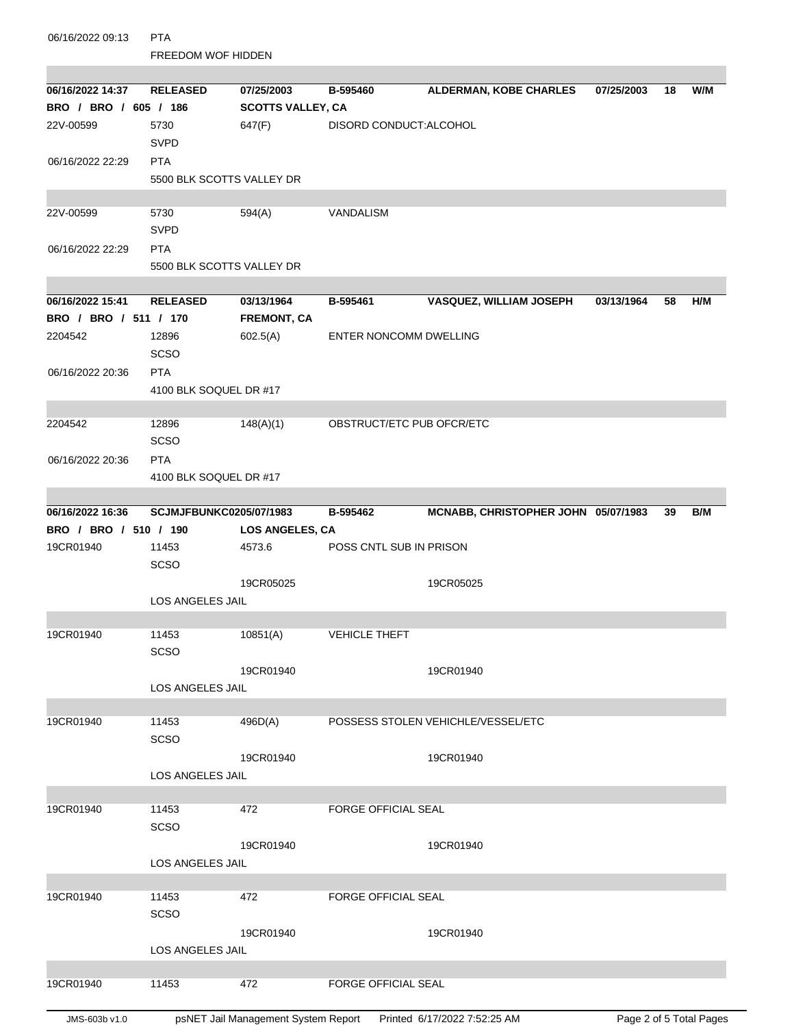| 06/16/2022 09:13      | <b>PTA</b>                |                          |                               |                                     |            |    |     |  |
|-----------------------|---------------------------|--------------------------|-------------------------------|-------------------------------------|------------|----|-----|--|
|                       | <b>FREEDOM WOF HIDDEN</b> |                          |                               |                                     |            |    |     |  |
|                       |                           |                          |                               |                                     |            |    |     |  |
| 06/16/2022 14:37      | <b>RELEASED</b>           | 07/25/2003               | B-595460                      | <b>ALDERMAN, KOBE CHARLES</b>       | 07/25/2003 | 18 | W/M |  |
| BRO / BRO / 605 / 186 |                           | <b>SCOTTS VALLEY, CA</b> |                               |                                     |            |    |     |  |
| 22V-00599             | 5730                      | 647(F)                   | DISORD CONDUCT: ALCOHOL       |                                     |            |    |     |  |
|                       | <b>SVPD</b>               |                          |                               |                                     |            |    |     |  |
| 06/16/2022 22:29      | <b>PTA</b>                |                          |                               |                                     |            |    |     |  |
|                       | 5500 BLK SCOTTS VALLEY DR |                          |                               |                                     |            |    |     |  |
|                       |                           |                          |                               |                                     |            |    |     |  |
| 22V-00599             | 5730                      | 594(A)                   | VANDALISM                     |                                     |            |    |     |  |
|                       | <b>SVPD</b>               |                          |                               |                                     |            |    |     |  |
| 06/16/2022 22:29      | <b>PTA</b>                |                          |                               |                                     |            |    |     |  |
|                       | 5500 BLK SCOTTS VALLEY DR |                          |                               |                                     |            |    |     |  |
|                       |                           |                          |                               |                                     |            |    |     |  |
| 06/16/2022 15:41      | <b>RELEASED</b>           | 03/13/1964               | B-595461                      | VASQUEZ, WILLIAM JOSEPH             | 03/13/1964 | 58 | H/M |  |
| BRO / BRO / 511 / 170 |                           | <b>FREMONT, CA</b>       |                               |                                     |            |    |     |  |
| 2204542               | 12896                     | 602.5(A)                 | <b>ENTER NONCOMM DWELLING</b> |                                     |            |    |     |  |
|                       | SCSO                      |                          |                               |                                     |            |    |     |  |
| 06/16/2022 20:36      | <b>PTA</b>                |                          |                               |                                     |            |    |     |  |
|                       | 4100 BLK SOQUEL DR #17    |                          |                               |                                     |            |    |     |  |
|                       |                           |                          |                               |                                     |            |    |     |  |
| 2204542               | 12896                     | 148(A)(1)                | OBSTRUCT/ETC PUB OFCR/ETC     |                                     |            |    |     |  |
|                       | <b>SCSO</b>               |                          |                               |                                     |            |    |     |  |
| 06/16/2022 20:36      | <b>PTA</b>                |                          |                               |                                     |            |    |     |  |
|                       | 4100 BLK SOQUEL DR #17    |                          |                               |                                     |            |    |     |  |
| 06/16/2022 16:36      | SCJMJFBUNKC0205/07/1983   |                          | B-595462                      | MCNABB, CHRISTOPHER JOHN 05/07/1983 |            | 39 | B/M |  |
| BRO / BRO / 510 / 190 |                           | <b>LOS ANGELES, CA</b>   |                               |                                     |            |    |     |  |
| 19CR01940             | 11453                     | 4573.6                   | POSS CNTL SUB IN PRISON       |                                     |            |    |     |  |
|                       | SCSO                      |                          |                               |                                     |            |    |     |  |
|                       |                           | 19CR05025                |                               | 19CR05025                           |            |    |     |  |
|                       | <b>LOS ANGELES JAIL</b>   |                          |                               |                                     |            |    |     |  |
|                       |                           |                          |                               |                                     |            |    |     |  |
| 19CR01940             | 11453                     | 10851(A)                 | <b>VEHICLE THEFT</b>          |                                     |            |    |     |  |
|                       | SCSO                      |                          |                               |                                     |            |    |     |  |
|                       |                           | 19CR01940                |                               | 19CR01940                           |            |    |     |  |
|                       | <b>LOS ANGELES JAIL</b>   |                          |                               |                                     |            |    |     |  |
|                       |                           |                          |                               |                                     |            |    |     |  |
| 19CR01940             | 11453                     | 496D(A)                  |                               | POSSESS STOLEN VEHICHLE/VESSEL/ETC  |            |    |     |  |
|                       | SCSO                      |                          |                               |                                     |            |    |     |  |
|                       |                           | 19CR01940                |                               | 19CR01940                           |            |    |     |  |
|                       | LOS ANGELES JAIL          |                          |                               |                                     |            |    |     |  |
|                       |                           |                          |                               |                                     |            |    |     |  |
| 19CR01940             | 11453                     | 472                      | <b>FORGE OFFICIAL SEAL</b>    |                                     |            |    |     |  |
|                       | SCSO                      |                          |                               |                                     |            |    |     |  |
|                       |                           | 19CR01940                |                               | 19CR01940                           |            |    |     |  |
|                       | LOS ANGELES JAIL          |                          |                               |                                     |            |    |     |  |
|                       |                           |                          |                               |                                     |            |    |     |  |
| 19CR01940             | 11453                     | 472                      | <b>FORGE OFFICIAL SEAL</b>    |                                     |            |    |     |  |
|                       | SCSO                      |                          |                               |                                     |            |    |     |  |
|                       |                           | 19CR01940                |                               | 19CR01940                           |            |    |     |  |
|                       | LOS ANGELES JAIL          |                          |                               |                                     |            |    |     |  |
|                       |                           |                          |                               |                                     |            |    |     |  |
| 19CR01940             | 11453                     | 472                      | <b>FORGE OFFICIAL SEAL</b>    |                                     |            |    |     |  |
|                       |                           |                          |                               |                                     |            |    |     |  |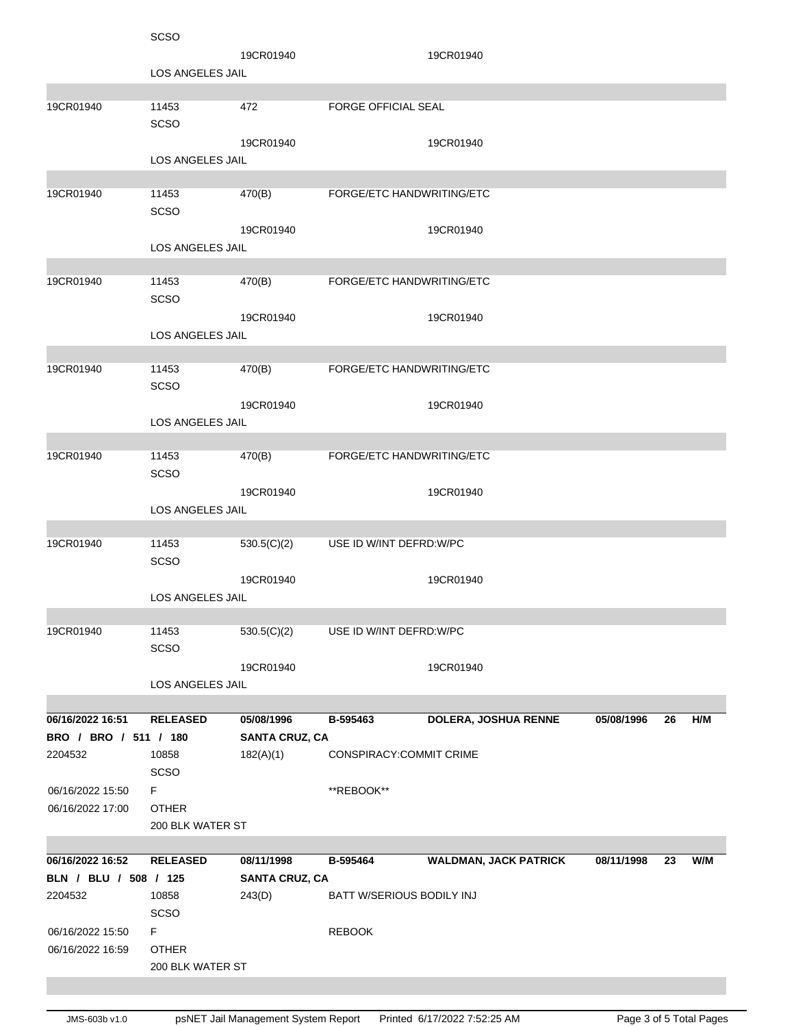| 19CR01940<br>19CR01940<br>LOS ANGELES JAIL<br>FORGE OFFICIAL SEAL<br>19CR01940<br>11453<br>472<br><b>SCSO</b><br>19CR01940<br>19CR01940<br>LOS ANGELES JAIL<br>19CR01940<br>11453<br>FORGE/ETC HANDWRITING/ETC<br>470(B)<br><b>SCSO</b><br>19CR01940<br>19CR01940<br>LOS ANGELES JAIL<br>19CR01940<br>FORGE/ETC HANDWRITING/ETC<br>11453<br>470(B)<br>SCSO<br>19CR01940<br>19CR01940<br><b>LOS ANGELES JAIL</b><br>11453<br>470(B)<br>FORGE/ETC HANDWRITING/ETC<br>19CR01940<br><b>SCSO</b><br>19CR01940<br>19CR01940<br><b>LOS ANGELES JAIL</b><br>19CR01940<br>11453<br>FORGE/ETC HANDWRITING/ETC<br>470(B)<br><b>SCSO</b><br>19CR01940<br>19CR01940<br><b>LOS ANGELES JAIL</b><br>19CR01940<br>11453<br>USE ID W/INT DEFRD: W/PC<br>530.5(C)(2)<br><b>SCSO</b><br>19CR01940<br>19CR01940<br>LOS ANGELES JAIL<br>19CR01940<br>11453<br>530.5(C)(2)<br>USE ID W/INT DEFRD.W/PC<br>SCSO<br>19CR01940<br>19CR01940<br>LOS ANGELES JAIL<br>06/16/2022 16:51<br>DOLERA, JOSHUA RENNE<br>H/M<br><b>RELEASED</b><br>05/08/1996<br>B-595463<br>05/08/1996<br>26<br>BRO / BRO / 511 / 180<br><b>SANTA CRUZ, CA</b><br>2204532<br>10858<br>182(A)(1)<br>CONSPIRACY:COMMIT CRIME<br><b>SCSO</b><br>F.<br>06/16/2022 15:50<br>**REBOOK**<br><b>OTHER</b><br>06/16/2022 17:00<br>200 BLK WATER ST<br><b>WALDMAN, JACK PATRICK</b><br>06/16/2022 16:52<br><b>RELEASED</b><br>08/11/1998<br>B-595464<br>08/11/1998<br>W/M<br>23<br>BLN / BLU / 508 / 125<br><b>SANTA CRUZ, CA</b><br>243(D)<br>BATT W/SERIOUS BODILY INJ<br>2204532<br>10858<br><b>SCSO</b><br>F.<br><b>REBOOK</b><br>06/16/2022 15:50<br><b>OTHER</b><br>06/16/2022 16:59<br>200 BLK WATER ST | <b>SCSO</b> |  |  |  |  |  |  |
|---------------------------------------------------------------------------------------------------------------------------------------------------------------------------------------------------------------------------------------------------------------------------------------------------------------------------------------------------------------------------------------------------------------------------------------------------------------------------------------------------------------------------------------------------------------------------------------------------------------------------------------------------------------------------------------------------------------------------------------------------------------------------------------------------------------------------------------------------------------------------------------------------------------------------------------------------------------------------------------------------------------------------------------------------------------------------------------------------------------------------------------------------------------------------------------------------------------------------------------------------------------------------------------------------------------------------------------------------------------------------------------------------------------------------------------------------------------------------------------------------------------------------------------------------------------------------------------------------------------------------------------------------|-------------|--|--|--|--|--|--|
|                                                                                                                                                                                                                                                                                                                                                                                                                                                                                                                                                                                                                                                                                                                                                                                                                                                                                                                                                                                                                                                                                                                                                                                                                                                                                                                                                                                                                                                                                                                                                                                                                                                   |             |  |  |  |  |  |  |
|                                                                                                                                                                                                                                                                                                                                                                                                                                                                                                                                                                                                                                                                                                                                                                                                                                                                                                                                                                                                                                                                                                                                                                                                                                                                                                                                                                                                                                                                                                                                                                                                                                                   |             |  |  |  |  |  |  |
|                                                                                                                                                                                                                                                                                                                                                                                                                                                                                                                                                                                                                                                                                                                                                                                                                                                                                                                                                                                                                                                                                                                                                                                                                                                                                                                                                                                                                                                                                                                                                                                                                                                   |             |  |  |  |  |  |  |
|                                                                                                                                                                                                                                                                                                                                                                                                                                                                                                                                                                                                                                                                                                                                                                                                                                                                                                                                                                                                                                                                                                                                                                                                                                                                                                                                                                                                                                                                                                                                                                                                                                                   |             |  |  |  |  |  |  |
|                                                                                                                                                                                                                                                                                                                                                                                                                                                                                                                                                                                                                                                                                                                                                                                                                                                                                                                                                                                                                                                                                                                                                                                                                                                                                                                                                                                                                                                                                                                                                                                                                                                   |             |  |  |  |  |  |  |
|                                                                                                                                                                                                                                                                                                                                                                                                                                                                                                                                                                                                                                                                                                                                                                                                                                                                                                                                                                                                                                                                                                                                                                                                                                                                                                                                                                                                                                                                                                                                                                                                                                                   |             |  |  |  |  |  |  |
|                                                                                                                                                                                                                                                                                                                                                                                                                                                                                                                                                                                                                                                                                                                                                                                                                                                                                                                                                                                                                                                                                                                                                                                                                                                                                                                                                                                                                                                                                                                                                                                                                                                   |             |  |  |  |  |  |  |
|                                                                                                                                                                                                                                                                                                                                                                                                                                                                                                                                                                                                                                                                                                                                                                                                                                                                                                                                                                                                                                                                                                                                                                                                                                                                                                                                                                                                                                                                                                                                                                                                                                                   |             |  |  |  |  |  |  |
|                                                                                                                                                                                                                                                                                                                                                                                                                                                                                                                                                                                                                                                                                                                                                                                                                                                                                                                                                                                                                                                                                                                                                                                                                                                                                                                                                                                                                                                                                                                                                                                                                                                   |             |  |  |  |  |  |  |
|                                                                                                                                                                                                                                                                                                                                                                                                                                                                                                                                                                                                                                                                                                                                                                                                                                                                                                                                                                                                                                                                                                                                                                                                                                                                                                                                                                                                                                                                                                                                                                                                                                                   |             |  |  |  |  |  |  |
|                                                                                                                                                                                                                                                                                                                                                                                                                                                                                                                                                                                                                                                                                                                                                                                                                                                                                                                                                                                                                                                                                                                                                                                                                                                                                                                                                                                                                                                                                                                                                                                                                                                   |             |  |  |  |  |  |  |
|                                                                                                                                                                                                                                                                                                                                                                                                                                                                                                                                                                                                                                                                                                                                                                                                                                                                                                                                                                                                                                                                                                                                                                                                                                                                                                                                                                                                                                                                                                                                                                                                                                                   |             |  |  |  |  |  |  |
|                                                                                                                                                                                                                                                                                                                                                                                                                                                                                                                                                                                                                                                                                                                                                                                                                                                                                                                                                                                                                                                                                                                                                                                                                                                                                                                                                                                                                                                                                                                                                                                                                                                   |             |  |  |  |  |  |  |
|                                                                                                                                                                                                                                                                                                                                                                                                                                                                                                                                                                                                                                                                                                                                                                                                                                                                                                                                                                                                                                                                                                                                                                                                                                                                                                                                                                                                                                                                                                                                                                                                                                                   |             |  |  |  |  |  |  |
|                                                                                                                                                                                                                                                                                                                                                                                                                                                                                                                                                                                                                                                                                                                                                                                                                                                                                                                                                                                                                                                                                                                                                                                                                                                                                                                                                                                                                                                                                                                                                                                                                                                   |             |  |  |  |  |  |  |
|                                                                                                                                                                                                                                                                                                                                                                                                                                                                                                                                                                                                                                                                                                                                                                                                                                                                                                                                                                                                                                                                                                                                                                                                                                                                                                                                                                                                                                                                                                                                                                                                                                                   |             |  |  |  |  |  |  |
|                                                                                                                                                                                                                                                                                                                                                                                                                                                                                                                                                                                                                                                                                                                                                                                                                                                                                                                                                                                                                                                                                                                                                                                                                                                                                                                                                                                                                                                                                                                                                                                                                                                   |             |  |  |  |  |  |  |
|                                                                                                                                                                                                                                                                                                                                                                                                                                                                                                                                                                                                                                                                                                                                                                                                                                                                                                                                                                                                                                                                                                                                                                                                                                                                                                                                                                                                                                                                                                                                                                                                                                                   |             |  |  |  |  |  |  |
|                                                                                                                                                                                                                                                                                                                                                                                                                                                                                                                                                                                                                                                                                                                                                                                                                                                                                                                                                                                                                                                                                                                                                                                                                                                                                                                                                                                                                                                                                                                                                                                                                                                   |             |  |  |  |  |  |  |
|                                                                                                                                                                                                                                                                                                                                                                                                                                                                                                                                                                                                                                                                                                                                                                                                                                                                                                                                                                                                                                                                                                                                                                                                                                                                                                                                                                                                                                                                                                                                                                                                                                                   |             |  |  |  |  |  |  |
|                                                                                                                                                                                                                                                                                                                                                                                                                                                                                                                                                                                                                                                                                                                                                                                                                                                                                                                                                                                                                                                                                                                                                                                                                                                                                                                                                                                                                                                                                                                                                                                                                                                   |             |  |  |  |  |  |  |
|                                                                                                                                                                                                                                                                                                                                                                                                                                                                                                                                                                                                                                                                                                                                                                                                                                                                                                                                                                                                                                                                                                                                                                                                                                                                                                                                                                                                                                                                                                                                                                                                                                                   |             |  |  |  |  |  |  |
|                                                                                                                                                                                                                                                                                                                                                                                                                                                                                                                                                                                                                                                                                                                                                                                                                                                                                                                                                                                                                                                                                                                                                                                                                                                                                                                                                                                                                                                                                                                                                                                                                                                   |             |  |  |  |  |  |  |
|                                                                                                                                                                                                                                                                                                                                                                                                                                                                                                                                                                                                                                                                                                                                                                                                                                                                                                                                                                                                                                                                                                                                                                                                                                                                                                                                                                                                                                                                                                                                                                                                                                                   |             |  |  |  |  |  |  |
|                                                                                                                                                                                                                                                                                                                                                                                                                                                                                                                                                                                                                                                                                                                                                                                                                                                                                                                                                                                                                                                                                                                                                                                                                                                                                                                                                                                                                                                                                                                                                                                                                                                   |             |  |  |  |  |  |  |
|                                                                                                                                                                                                                                                                                                                                                                                                                                                                                                                                                                                                                                                                                                                                                                                                                                                                                                                                                                                                                                                                                                                                                                                                                                                                                                                                                                                                                                                                                                                                                                                                                                                   |             |  |  |  |  |  |  |
|                                                                                                                                                                                                                                                                                                                                                                                                                                                                                                                                                                                                                                                                                                                                                                                                                                                                                                                                                                                                                                                                                                                                                                                                                                                                                                                                                                                                                                                                                                                                                                                                                                                   |             |  |  |  |  |  |  |
|                                                                                                                                                                                                                                                                                                                                                                                                                                                                                                                                                                                                                                                                                                                                                                                                                                                                                                                                                                                                                                                                                                                                                                                                                                                                                                                                                                                                                                                                                                                                                                                                                                                   |             |  |  |  |  |  |  |
|                                                                                                                                                                                                                                                                                                                                                                                                                                                                                                                                                                                                                                                                                                                                                                                                                                                                                                                                                                                                                                                                                                                                                                                                                                                                                                                                                                                                                                                                                                                                                                                                                                                   |             |  |  |  |  |  |  |
|                                                                                                                                                                                                                                                                                                                                                                                                                                                                                                                                                                                                                                                                                                                                                                                                                                                                                                                                                                                                                                                                                                                                                                                                                                                                                                                                                                                                                                                                                                                                                                                                                                                   |             |  |  |  |  |  |  |
|                                                                                                                                                                                                                                                                                                                                                                                                                                                                                                                                                                                                                                                                                                                                                                                                                                                                                                                                                                                                                                                                                                                                                                                                                                                                                                                                                                                                                                                                                                                                                                                                                                                   |             |  |  |  |  |  |  |
|                                                                                                                                                                                                                                                                                                                                                                                                                                                                                                                                                                                                                                                                                                                                                                                                                                                                                                                                                                                                                                                                                                                                                                                                                                                                                                                                                                                                                                                                                                                                                                                                                                                   |             |  |  |  |  |  |  |
|                                                                                                                                                                                                                                                                                                                                                                                                                                                                                                                                                                                                                                                                                                                                                                                                                                                                                                                                                                                                                                                                                                                                                                                                                                                                                                                                                                                                                                                                                                                                                                                                                                                   |             |  |  |  |  |  |  |
|                                                                                                                                                                                                                                                                                                                                                                                                                                                                                                                                                                                                                                                                                                                                                                                                                                                                                                                                                                                                                                                                                                                                                                                                                                                                                                                                                                                                                                                                                                                                                                                                                                                   |             |  |  |  |  |  |  |
|                                                                                                                                                                                                                                                                                                                                                                                                                                                                                                                                                                                                                                                                                                                                                                                                                                                                                                                                                                                                                                                                                                                                                                                                                                                                                                                                                                                                                                                                                                                                                                                                                                                   |             |  |  |  |  |  |  |
|                                                                                                                                                                                                                                                                                                                                                                                                                                                                                                                                                                                                                                                                                                                                                                                                                                                                                                                                                                                                                                                                                                                                                                                                                                                                                                                                                                                                                                                                                                                                                                                                                                                   |             |  |  |  |  |  |  |
|                                                                                                                                                                                                                                                                                                                                                                                                                                                                                                                                                                                                                                                                                                                                                                                                                                                                                                                                                                                                                                                                                                                                                                                                                                                                                                                                                                                                                                                                                                                                                                                                                                                   |             |  |  |  |  |  |  |
|                                                                                                                                                                                                                                                                                                                                                                                                                                                                                                                                                                                                                                                                                                                                                                                                                                                                                                                                                                                                                                                                                                                                                                                                                                                                                                                                                                                                                                                                                                                                                                                                                                                   |             |  |  |  |  |  |  |
|                                                                                                                                                                                                                                                                                                                                                                                                                                                                                                                                                                                                                                                                                                                                                                                                                                                                                                                                                                                                                                                                                                                                                                                                                                                                                                                                                                                                                                                                                                                                                                                                                                                   |             |  |  |  |  |  |  |
|                                                                                                                                                                                                                                                                                                                                                                                                                                                                                                                                                                                                                                                                                                                                                                                                                                                                                                                                                                                                                                                                                                                                                                                                                                                                                                                                                                                                                                                                                                                                                                                                                                                   |             |  |  |  |  |  |  |
|                                                                                                                                                                                                                                                                                                                                                                                                                                                                                                                                                                                                                                                                                                                                                                                                                                                                                                                                                                                                                                                                                                                                                                                                                                                                                                                                                                                                                                                                                                                                                                                                                                                   |             |  |  |  |  |  |  |
|                                                                                                                                                                                                                                                                                                                                                                                                                                                                                                                                                                                                                                                                                                                                                                                                                                                                                                                                                                                                                                                                                                                                                                                                                                                                                                                                                                                                                                                                                                                                                                                                                                                   |             |  |  |  |  |  |  |
|                                                                                                                                                                                                                                                                                                                                                                                                                                                                                                                                                                                                                                                                                                                                                                                                                                                                                                                                                                                                                                                                                                                                                                                                                                                                                                                                                                                                                                                                                                                                                                                                                                                   |             |  |  |  |  |  |  |
|                                                                                                                                                                                                                                                                                                                                                                                                                                                                                                                                                                                                                                                                                                                                                                                                                                                                                                                                                                                                                                                                                                                                                                                                                                                                                                                                                                                                                                                                                                                                                                                                                                                   |             |  |  |  |  |  |  |
|                                                                                                                                                                                                                                                                                                                                                                                                                                                                                                                                                                                                                                                                                                                                                                                                                                                                                                                                                                                                                                                                                                                                                                                                                                                                                                                                                                                                                                                                                                                                                                                                                                                   |             |  |  |  |  |  |  |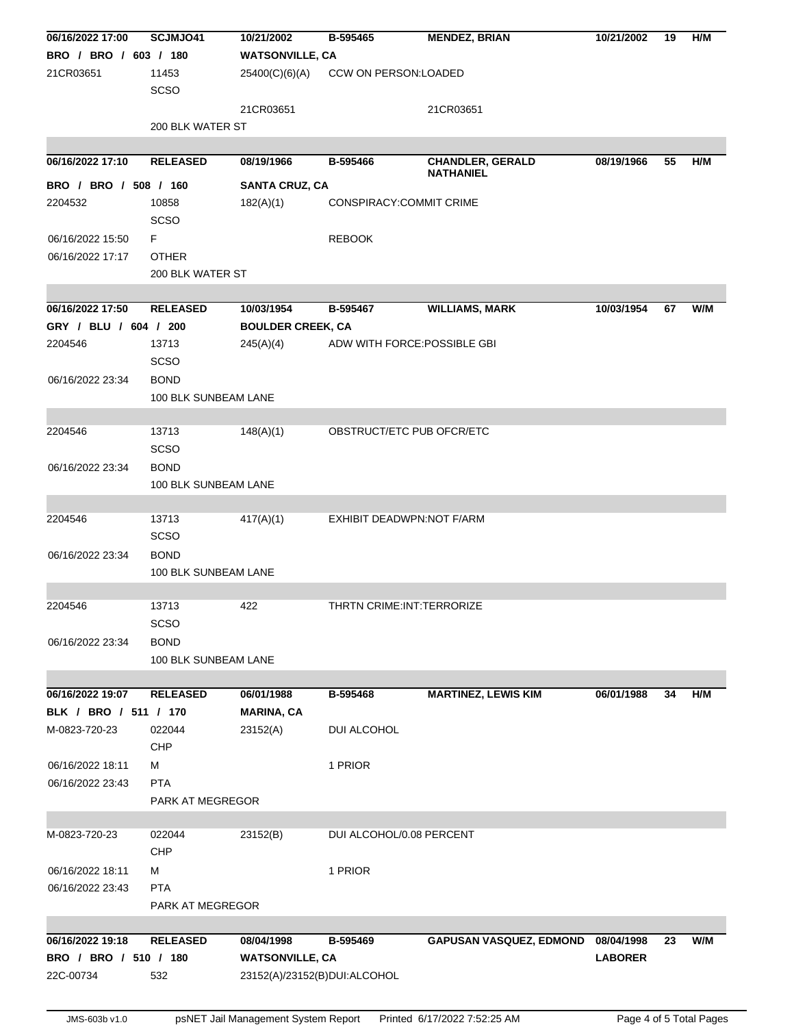| 06/16/2022 17:00      | SCJMJO41             | 10/21/2002                   | B-595465                     | <b>MENDEZ, BRIAN</b>           | 10/21/2002     | 19 | H/M |  |  |
|-----------------------|----------------------|------------------------------|------------------------------|--------------------------------|----------------|----|-----|--|--|
| BRO / BRO / 603 / 180 |                      | <b>WATSONVILLE, CA</b>       |                              |                                |                |    |     |  |  |
| 21CR03651             | 11453                | 25400(C)(6)(A)               | CCW ON PERSON:LOADED         |                                |                |    |     |  |  |
|                       | <b>SCSO</b>          |                              |                              |                                |                |    |     |  |  |
|                       |                      | 21CR03651                    |                              | 21CR03651                      |                |    |     |  |  |
|                       | 200 BLK WATER ST     |                              |                              |                                |                |    |     |  |  |
|                       |                      |                              |                              |                                |                |    |     |  |  |
| 06/16/2022 17:10      | <b>RELEASED</b>      | 08/19/1966                   | B-595466                     | <b>CHANDLER, GERALD</b>        | 08/19/1966     | 55 | H/M |  |  |
|                       |                      |                              |                              | NATHANIEL                      |                |    |     |  |  |
| BRO / BRO / 508 / 160 |                      | <b>SANTA CRUZ, CA</b>        |                              |                                |                |    |     |  |  |
| 2204532               | 10858                | 182(A)(1)                    | CONSPIRACY:COMMIT CRIME      |                                |                |    |     |  |  |
|                       | SCSO                 |                              |                              |                                |                |    |     |  |  |
| 06/16/2022 15:50      | F.                   |                              | <b>REBOOK</b>                |                                |                |    |     |  |  |
| 06/16/2022 17:17      | <b>OTHER</b>         |                              |                              |                                |                |    |     |  |  |
|                       | 200 BLK WATER ST     |                              |                              |                                |                |    |     |  |  |
|                       |                      |                              |                              |                                |                |    |     |  |  |
| 06/16/2022 17:50      | <b>RELEASED</b>      | 10/03/1954                   | B-595467                     | <b>WILLIAMS, MARK</b>          | 10/03/1954     | 67 | W/M |  |  |
| GRY / BLU / 604 / 200 |                      | <b>BOULDER CREEK, CA</b>     |                              |                                |                |    |     |  |  |
| 2204546               | 13713                | 245(A)(4)                    | ADW WITH FORCE: POSSIBLE GBI |                                |                |    |     |  |  |
|                       | <b>SCSO</b>          |                              |                              |                                |                |    |     |  |  |
| 06/16/2022 23:34      | <b>BOND</b>          |                              |                              |                                |                |    |     |  |  |
|                       | 100 BLK SUNBEAM LANE |                              |                              |                                |                |    |     |  |  |
|                       |                      |                              |                              |                                |                |    |     |  |  |
| 2204546               | 13713                | 148(A)(1)                    | OBSTRUCT/ETC PUB OFCR/ETC    |                                |                |    |     |  |  |
|                       | <b>SCSO</b>          |                              |                              |                                |                |    |     |  |  |
| 06/16/2022 23:34      | <b>BOND</b>          |                              |                              |                                |                |    |     |  |  |
|                       | 100 BLK SUNBEAM LANE |                              |                              |                                |                |    |     |  |  |
|                       |                      |                              |                              |                                |                |    |     |  |  |
| 2204546               | 13713                | 417(A)(1)                    | EXHIBIT DEADWPN:NOT F/ARM    |                                |                |    |     |  |  |
|                       | <b>SCSO</b>          |                              |                              |                                |                |    |     |  |  |
| 06/16/2022 23:34      | <b>BOND</b>          |                              |                              |                                |                |    |     |  |  |
|                       | 100 BLK SUNBEAM LANE |                              |                              |                                |                |    |     |  |  |
|                       |                      |                              |                              |                                |                |    |     |  |  |
| 2204546               | 13713                | 422                          | THRTN CRIME: INT: TERRORIZE  |                                |                |    |     |  |  |
|                       | <b>SCSO</b>          |                              |                              |                                |                |    |     |  |  |
| 06/16/2022 23:34      | <b>BOND</b>          |                              |                              |                                |                |    |     |  |  |
|                       |                      | 100 BLK SUNBEAM LANE         |                              |                                |                |    |     |  |  |
|                       |                      |                              |                              |                                |                |    |     |  |  |
| 06/16/2022 19:07      | <b>RELEASED</b>      | 06/01/1988                   | B-595468                     | <b>MARTINEZ, LEWIS KIM</b>     | 06/01/1988     | 34 | H/M |  |  |
| BLK / BRO / 511 / 170 |                      | <b>MARINA, CA</b>            |                              |                                |                |    |     |  |  |
| M-0823-720-23         | 022044               | 23152(A)                     | DUI ALCOHOL                  |                                |                |    |     |  |  |
|                       | CHP                  |                              |                              |                                |                |    |     |  |  |
| 06/16/2022 18:11      | м                    |                              | 1 PRIOR                      |                                |                |    |     |  |  |
| 06/16/2022 23:43      | <b>PTA</b>           |                              |                              |                                |                |    |     |  |  |
|                       | PARK AT MEGREGOR     |                              |                              |                                |                |    |     |  |  |
|                       |                      |                              |                              |                                |                |    |     |  |  |
| M-0823-720-23         | 022044               | 23152(B)                     | DUI ALCOHOL/0.08 PERCENT     |                                |                |    |     |  |  |
|                       | <b>CHP</b>           |                              |                              |                                |                |    |     |  |  |
| 06/16/2022 18:11      | м                    |                              | 1 PRIOR                      |                                |                |    |     |  |  |
| 06/16/2022 23:43      | <b>PTA</b>           |                              |                              |                                |                |    |     |  |  |
|                       | PARK AT MEGREGOR     |                              |                              |                                |                |    |     |  |  |
|                       |                      |                              |                              |                                |                |    |     |  |  |
| 06/16/2022 19:18      | <b>RELEASED</b>      | 08/04/1998                   | B-595469                     | <b>GAPUSAN VASQUEZ, EDMOND</b> | 08/04/1998     | 23 | W/M |  |  |
| BRO / BRO / 510 / 180 |                      | <b>WATSONVILLE, CA</b>       |                              |                                | <b>LABORER</b> |    |     |  |  |
| 22C-00734             | 532                  | 23152(A)/23152(B)DUI:ALCOHOL |                              |                                |                |    |     |  |  |
|                       |                      |                              |                              |                                |                |    |     |  |  |
|                       |                      |                              |                              |                                |                |    |     |  |  |

JMS-603b v1.0 psNET Jail Management System Report Printed 6/17/2022 7:52:25 AM Page 4 of 5 Total Pages